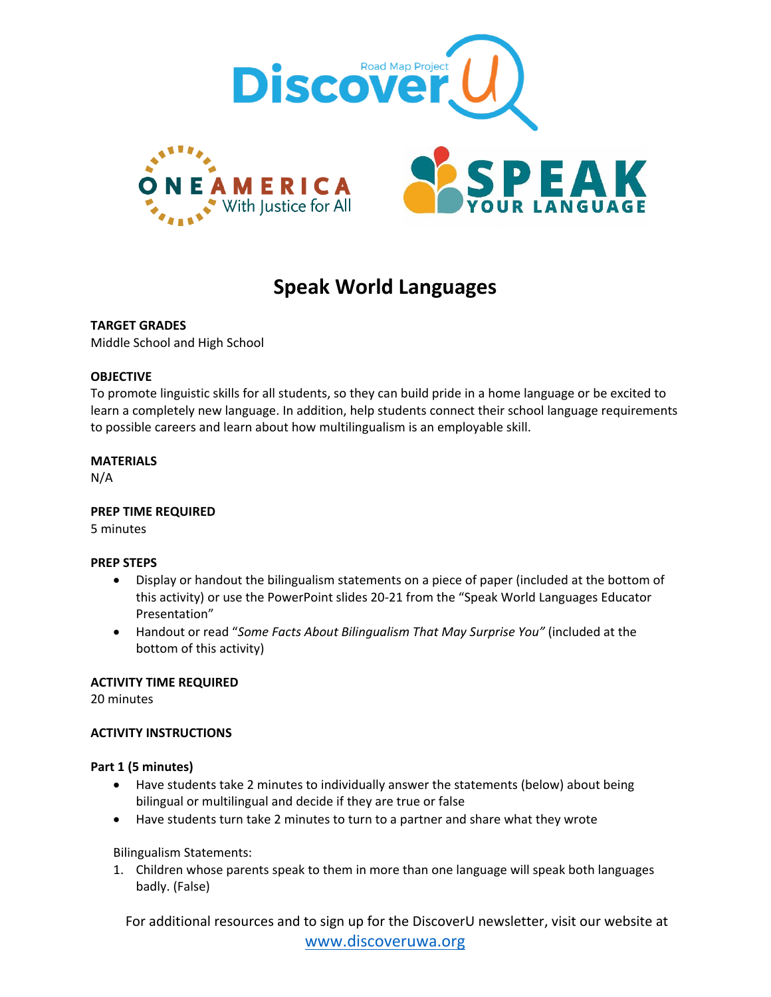

# **Speak World Languages**

# **TARGET GRADES**

Middle School and High School

# **OBJECTIVE**

To promote linguistic skills for all students, so they can build pride in a home language or be excited to learn a completely new language. In addition, help students connect their school language requirements to possible careers and learn about how multilingualism is an employable skill.

#### **MATERIALS**

N/A

# **PREP TIME REQUIRED**

5 minutes

# **PREP STEPS**

- Display or handout the bilingualism statements on a piece of paper (included at the bottom of this activity) or use the PowerPoint slides 20-21 from the "Speak World Languages Educator Presentation"
- Handout or read "*Some Facts About Bilingualism That May Surprise You"* (included at the bottom of this activity)

# **ACTIVITY TIME REQUIRED**

20 minutes

# **ACTIVITY INSTRUCTIONS**

#### **Part 1 (5 minutes)**

- Have students take 2 minutes to individually answer the statements (below) about being bilingual or multilingual and decide if they are true or false
- Have students turn take 2 minutes to turn to a partner and share what they wrote

Bilingualism Statements:

1. Children whose parents speak to them in more than one language will speak both languages badly. (False)

For additional resources and to sign up for the DiscoverU newsletter, visit our website at [www.discoveruwa.org](http://www.discoveruwa.org/)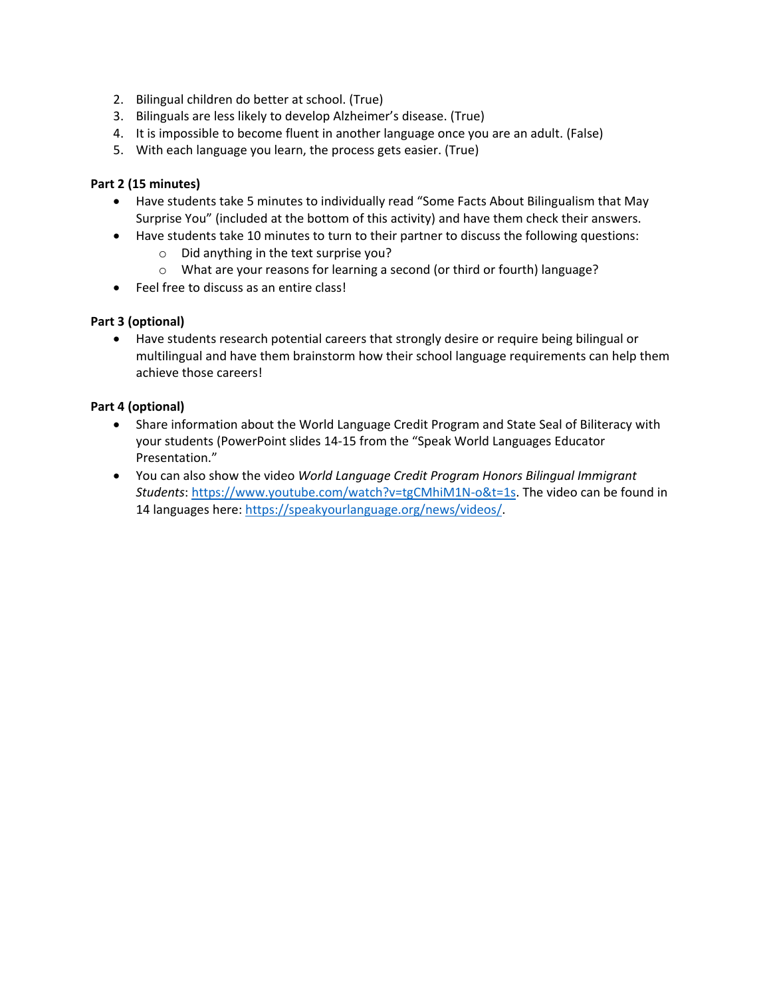- 2. Bilingual children do better at school. (True)
- 3. Bilinguals are less likely to develop Alzheimer's disease. (True)
- 4. It is impossible to become fluent in another language once you are an adult. (False)
- 5. With each language you learn, the process gets easier. (True)

# **Part 2 (15 minutes)**

- Have students take 5 minutes to individually read "Some Facts About Bilingualism that May Surprise You" (included at the bottom of this activity) and have them check their answers.
- Have students take 10 minutes to turn to their partner to discuss the following questions:
	- o Did anything in the text surprise you?
	- o What are your reasons for learning a second (or third or fourth) language?
- Feel free to discuss as an entire class!

# **Part 3 (optional)**

• Have students research potential careers that strongly desire or require being bilingual or multilingual and have them brainstorm how their school language requirements can help them achieve those careers!

# **Part 4 (optional)**

- Share information about the World Language Credit Program and State Seal of Biliteracy with your students (PowerPoint slides 14-15 from the "Speak World Languages Educator Presentation."
- You can also show the video *World Language Credit Program Honors Bilingual Immigrant Students*: [https://www.youtube.com/watch?v=tgCMhiM1N-o&t=1s.](https://www.youtube.com/watch?v=tgCMhiM1N-o&t=1s) The video can be found in 14 languages here: [https://speakyourlanguage.org/news/videos/.](https://speakyourlanguage.org/news/videos/)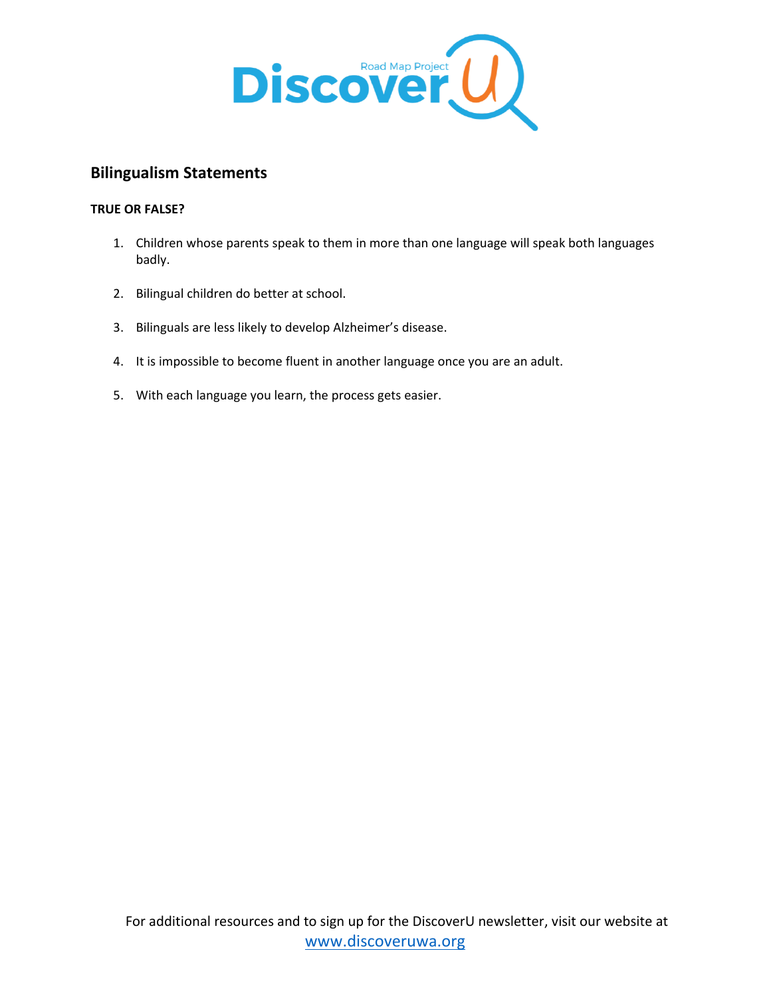

# **Bilingualism Statements**

# **TRUE OR FALSE?**

- 1. Children whose parents speak to them in more than one language will speak both languages badly.
- 2. Bilingual children do better at school.
- 3. Bilinguals are less likely to develop Alzheimer's disease.
- 4. It is impossible to become fluent in another language once you are an adult.
- 5. With each language you learn, the process gets easier.